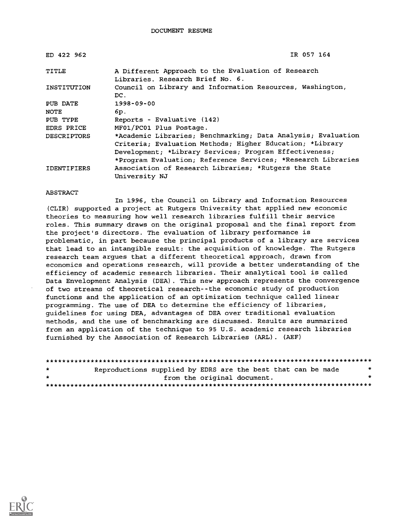| ED 422 962         | IR 057 164                                                   |
|--------------------|--------------------------------------------------------------|
| TITLE              | A Different Approach to the Evaluation of Research           |
|                    | Libraries. Research Brief No. 6.                             |
| INSTITUTION        | Council on Library and Information Resources, Washington,    |
|                    | DC.                                                          |
| PUB DATE           | 1998-09-00                                                   |
| NOTE               | 6p.                                                          |
| PUB TYPE           | Reports - Evaluative (142)                                   |
| EDRS PRICE         | MF01/PC01 Plus Postage.                                      |
| <b>DESCRIPTORS</b> | *Academic Libraries; Benchmarking; Data Analysis; Evaluation |
|                    | Criteria; Evaluation Methods; Higher Education; *Library     |
|                    | Development; *Library Services; Program Effectiveness;       |
|                    | *Program Evaluation; Reference Services; *Research Libraries |
| <b>IDENTIFIERS</b> | Association of Research Libraries; *Rutgers the State        |
|                    | University NJ                                                |

#### ABSTRACT

In 1996, the Council on Library and Information Resources (CLIR) supported a project at Rutgers University that applied new economic theories to measuring how well research libraries fulfill their service roles. This summary draws on the original proposal and the final report from the project's directors. The evaluation of library performance is problematic, in part because the principal products of a library are services that lead to an intangible result: the acquisition of knowledge. The Rutgers research team argues that a different theoretical approach, drawn from economics and operations research, will provide a better understanding of the efficiency of academic research libraries. Their analytical tool is called Data Envelopment Analysis (DEA). This new approach represents the convergence of two streams of theoretical research--the economic study of production functions and the application of an optimization technique called linear programming. The use of DEA to determine the efficiency of libraries, guidelines for using DEA, advantages of DEA over traditional evaluation methods, and the use of benchmarking are discussed. Results are summarized from an application of the technique to 95 U.S. academic research libraries furnished by the Association of Research Libraries (ARL) . (AEF)

| $\star$ | Reproductions supplied by EDRS are the best that can be made |  |                             | $\star$ |
|---------|--------------------------------------------------------------|--|-----------------------------|---------|
| $\star$ |                                                              |  | from the original document. | . .     |
|         |                                                              |  |                             |         |

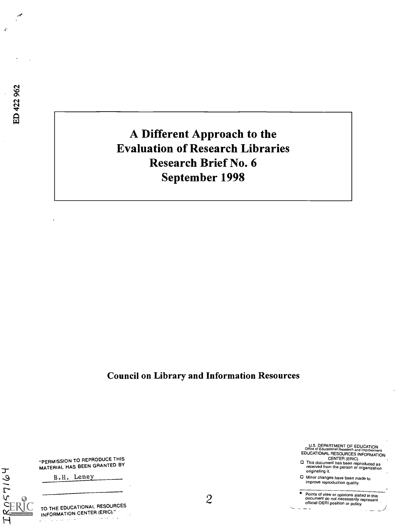$\mathcal{L}$ 

## A Different Approach to the Evaluation of Research Libraries Research Brief No. 6 September 1998

Council on Library and Information Resources

"PERMISSION TO REPRODUCE THIS MATERIAL HAS BEEN GRANTED BY

B.H. Lene

TO THE EDUCATIONAL RESOURCES INFORMATION CENTER (ERIC)."

 $IRQ57164$ 

RIC

2

U.S. DEPARTMENT OF EDUCATION Office of Educational Research and Improvement EDUCATIONAL RESOURCES INFORMATION

CENTER (ERIC) 0 This document has been reproduced as received from the person or organization originating it.

o Minor changes have been made to improve reproduction quality.

Points of view or opinions stated in this document do not necessarily represent official OERI position or policy.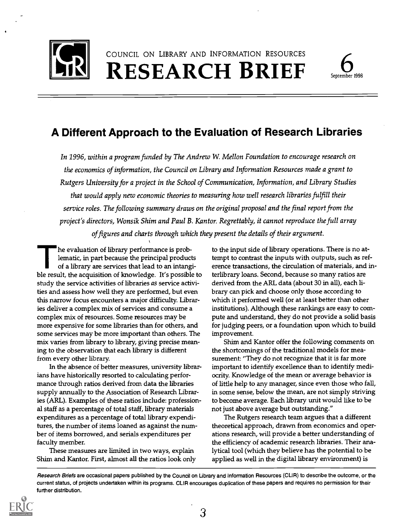

COUNCIL ON LIBRARY AND INFORMATION RESOURCES RESEARCH BRIEF September 1998



### A Different Approach to the Evaluation of Research Libraries

In 1996, within a program funded by The Andrew W. Mellon Foundation to encourage research on the economics of information, the Council on Library and Information Resources made a grant to Rutgers University for a project in the School of Communication, Information, and Library Studies that would apply new economic theories to measuring how well research libraries fulfill their service roles. The following summary draws on the original proposal and the final report from the project's directors, Wonsik Shim and Paul B. Kantor. Regrettably, it cannot reproduce the full array of figures and charts through which they present the details of their argument.

he evaluation of library performance is problematic, in part because the principal products of a library are services that lead to an intangible result, the acquisition of knowledge. It's possible to study the service activities of libraries as service activities and assess how well they are performed, but even this narrow focus encounters a major difficulty Libraries deliver a complex mix of services and consume a complex mix of resources. Some resources may be more expensive for some libraries than for others, and some services may be more important than others. The mix varies from library to library giving precise meaning to the observation that each library is different from every other library

In the absence of better measures, university librarians have historically resorted to calculating performance through ratios derived from data the libraries supply annually to the Association of Research Libraries (ARL). Examples of these ratios include: professional staff as a percentage of total staff, library materials expenditures as a percentage of total library expenditures, the number of items loaned as against the number of items borrowed, and serials expenditures per faculty member.

These measures are limited in two ways, explain Shim and Kantor. First, almost all the ratios look only

to the input side of library operations. There is no attempt to contrast the inputs with outputs, such as reference transactions, the circulation of materials, and interlibrary loans. Second, because so many ratios are derived from the ARL data (about 30 in all), each library can pick and choose only those according to which it performed well (or at least better than other institutions). Although these rankings are easy to compute and understand, they do not provide a solid basis for judging peers, or a foundation upon which to build improvement.

Shim and Kantor offer the following comments on the shortcomings of the traditional models for measurement: "They do not recognize that it is far more important to identify excellence than to identify mediocrity Knowledge of the mean or average behavior is of little help to any manager, since even those who fall, in some sense, below the mean, are not simply striving to become average. Each library unit would like to be not just above average but outstanding."

The Rutgers research team argues that a different theoretical approach, drawn from economics and operations research, will provide a better understanding of the efficiency of academic research libraries. Their analytical tool (which they believe has the potential to be applied as well in the digital library environment) is

Research Briefs are occasional papers published by the Council on Library and Information Resources (CLIR) to describe the outcome, or the current status, of projects undertaken within its programs. CUR encourages duplication of these papers and requires no permission for their further distribution.

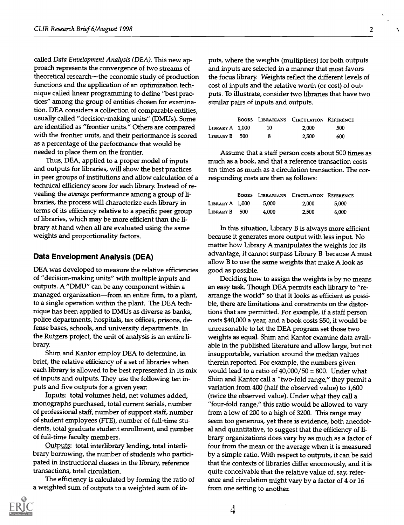called Data Envelopment Analysis (DEA). This new approach represents the convergence of two streams of theoretical research—the economic study of production functions and the application of an optimization technique called linear programming to define "best practices" among the group of entities chosen for examination. DEA considers a collection of comparable entities, usually called "decision-making units" (DMUs). Some are identified as "frontier units." Others are compared with the frontier units, and their performance is scored as a percentage of the performance that would be needed to place them on the frontier.

Thus, DEA, applied to a proper model of inputs and outputs for libraries, will show the best practices in peer groups of institutions and allow calculation of a technical efficiency score for each library. Instead of revealing the average performance among a group of libraries, the process will characterize each library in terms of its efficiency relative to a specific peer group of libraries, which may be more efficient than the library at hand when all are evaluated using the same weights and proportionality factors.

#### Data Envelopment Analysis (DEA)

DEA was developed to measure the relative efficiencies of "decision-making units" with multiple inputs and outputs. A "DMU" can be any component within a managed organization—from an entire firm, to a plant, to a single operation within the plant. The DEA technique has been applied to DMUs as diverse as banks, police departments, hospitals, tax offices, prisons, defense bases, schools, and university departments. In the Rutgers project, the unit of analysis is an entire library.

Shim and Kantor employ DEA to determine, in brief, the relative efficiency of a set of libraries when each library is allowed to be best represented in its mix of inputs and outputs. They use the following ten inputs and five outputs for a given year:

Inputs: total volumes held, net volumes added, monographs purchased, total current serials, number of professional staff, number of support staff, number of student employees (FTE), number of full-time students, total graduate student enrollment, and number of full-time faculty members.

Outputs: total interlibrary lending, total interlibrary borrowing, the number of students who participated in instructional classes in the library, reference transactions, total circulation.

The efficiency is calculated by forming the ratio of a weighted sum of outputs to a weighted sum of in-



|                 |    | BOOKS LIBRARIANS CIRCULATION REFERENCE |     |  |
|-----------------|----|----------------------------------------|-----|--|
| LIBRARY A 1,000 | 10 | 2.000                                  | 500 |  |
| LIBRARY B 500   |    | 2,500                                  | 600 |  |

Assume that a staff person costs about 500 times as much as a book, and that a reference transaction costs ten times as much as a circulation transaction. The corresponding costs are then as follows:

|                 |       | BOOKS LIBRARIANS CIRCULATION REFERENCE |       |
|-----------------|-------|----------------------------------------|-------|
| LIBRARY A 1.000 | 5.000 | 2,000                                  | 5.000 |
| LIBRARY B 500   | 4.000 | 2,500                                  | 6.000 |

In this situation, Library B is always more efficient because it generates more output with less input. No matter how Library A manipulates the weights for its advantage, it cannot surpass Library B because A must allow B to use the same weights that make A look as good as possible.

Deciding how to assign the weights is by no means an easy task. Though DEA permits each library to "rearrange the world" so that it looks as efficient as possible, there are limitations and constraints on the distortions that are permitted. For example, if a staff person costs \$40,000 a year, and a book costs \$50, it would be unreasonable to let the DEA program set those two weights as equal. Shim and Kantor examine data available in the published literature and allow large, but not insupportable, variation around the median values therein reported. For example, the numbers given would lead to a ratio of  $40,000/50 = 800$ . Under what Shim and Kantor call a "two-fold range," they permit a variation from 400 (half the observed value) to 1,600 (twice the observed value). Under what they call a "four-fold range," this ratio would be allowed to vary from a low of 200 to a high of 3200. This range may seem too generous, yet there is evidence, both anecdotal and quantitative, to suggest that the efficiency of library organizations does vary by as much as a factor of four from the mean or the average when it is measured by a simple ratio. With respect to outputs, it can be said that the contexts of libraries differ enormously, and it is quite conceivable that the relative value of, say, reference and circulation might vary by a factor of 4 or 16 from one setting to another.

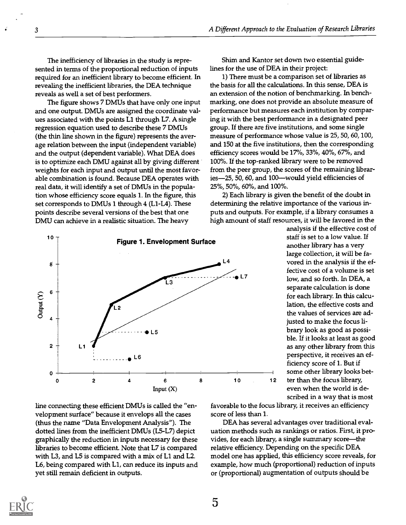Shim and Kantor set down two essential guide-

1) There must be a comparison set of libraries as the basis for all the calculations. In this sense, DEA is an extension of the notion of benchmarking. In benchmarking, one does not provide an absolute measure of performance but measures each institution by comparing it with the best performance in a designated peer group. If there are five institutions, and some single measure of performance whose value is 25, 50, 60, 100, and 150 at the five institutions, then the corresponding efficiency scores would be 17%, 33%, 40%, 67%, and 100%. If the top-ranked library were to be removed from the peer group, the scores of the remaining libraries-25, 50, 60, and 100-would yield efficiencies of

lines for the use of DEA in their project:

25%, 50%, 60%, and 100%.

The inefficiency of libraries in the study is represented in terms of the proportional reduction of inputs required for an inefficient library to become efficient. In revealing the inefficient libraries, the DEA technique reveals as well a set of best performers.

The figure shows 7 DMUs that have only one input and one output. DMUs are assigned the coordinate values associated with the points Ll through L7. A single regression equation used to describe these 7 DMUs (the thin line shown in the figure) represents the average relation between the input (independent variable) and the output (dependent variable). What DEA does is to optimize each DMU against all by giving different weights for each input and output until the most favorable combination is found. Because DEA operates with real data, it will identify a set of DMUs in the population whose efficiency score equals 1. In the figure, this set corresponds to DMUs 1 through 4 (Ll-L4). These points describe several versions of the best that one DMU can achieve in a realistic situation. The heavy



2) Each library is given the benefit of the doubt in determining the relative importance of the various inputs and outputs. For example, if a library consumes a high amount of staff resources, it will be favored in the analysis if the effective cost of staff is set to a low value. If another library has a very large collection, it will be favored in the analysis if the effective cost of a volume is set low, and so forth. In DEA, a separate calculation is done

for each library. In this calculation, the effective costs and the values of services are adjusted to make the focus library look as good as possible. If it looks at least as good as any other library from this perspective, it receives an efficiency score of 1. But if some other library looks beteven when the world is described in a way that is most

line connecting these efficient DMUs is called the "envelopment surface" because it envelops all the cases (thus the name "Data Envelopment Analysis"). The dotted lines from the inefficient DMUs (L5-L7) depict graphically the reduction in inputs necessary for these libraries to become efficient. Note that L7 is compared with L3, and L5 is compared with a mix of Ll and L2. L6, being compared with Ll, can reduce its inputs and yet still remain deficient in outputs.

favorable to the focus library, it receives an efficiency score of less than 1.

DEA has several advantages over traditional evaluation methods such as rankings or ratios. First, it provides, for each library, a single summary score—the relative efficiency. Depending on the specific DEA model one has applied, this efficiency score reveals, for example, how much (proportional) reduction of inputs or (proportional) augmentation of outputs should be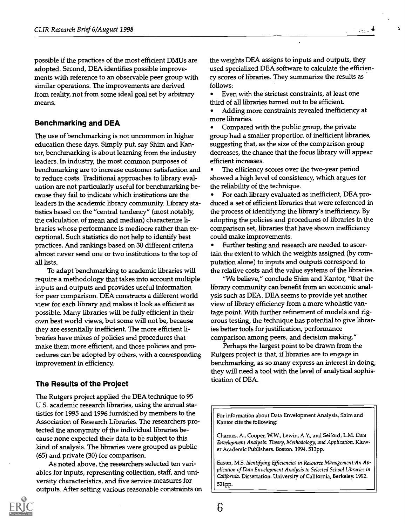possible if the practices of the most efficient DMUs are adopted. Second, DEA identifies possible improvements with reference to an observable peer group with similar operations. The improvements are derived from reality, not from some ideal goal set by arbitrary means.

#### Benchmarking and DEA

The use of benchmarking is not uncommon in higher education these days. Simply put, say Shim and Kantor, benchmarking is about learning from the industry leaders. In industry, the most common purposes of benchmarking are to increase customer satisfaction and to reduce costs. Traditional approaches to library evaluation are not particularly useful for benchmarking because they fail to indicate which institutions are the leaders in the academic library community. Library statistics based on the "central tendency" (most notably, the calculation of mean and median) characterize libraries whose performance is mediocre rather than exceptional. Such statistics do not help to identify best practices. And rankings based on 30 different criteria almost never send one or two institutions to the top of all lists.

To adapt benchmarking to academic libraries will require a methodology that takes into account multiple inputs and outputs and provides useful information for peer comparison. DEA constructs a different world view for each library and makes it look as efficient as possible. Many libraries will be fully efficient in their own best world views, but some will not be, because they are essentially inefficient. The more efficient libraries have mixes of policies and procedures that make them more efficient, and those policies and procedures can be adopted by others, with a corresponding improvement in efficiency

#### The Results of the Project

The Rutgers project applied the DEA technique to 95 U.S. academic research libraries, using the annual statistics for 1995 and 1996 furnished by members to the Association of Research Libraries. The researchers protected the anonymity of the individual libraries because none expected their data to be subject to this kind of analysis. The libraries were grouped as public (65) and private (30) for comparison.

As noted above, the researchers selected ten variables for inputs, representing collection, staff, and university characteristics, and five service measures for outputs. After setting various reasonable constraints on



the weights DEA assigns to inputs and outputs, they used specialized DEA software to calculate the efficiency scores of libraries. They summarize the results as follows:

Even with the strictest constraints, at least one third of all libraries turned out to be efficient.

Adding more constraints revealed inefficiency at more libraries.

Compared with the public group, the private group had a smaller proportion of inefficient libraries, suggesting that, as the size of the comparison group decreases, the chance that the focus library will appear efficient increases.

The efficiency scores over the two-year period showed a high level of consistency, which argues for the reliability of the technique.

For each library evaluated as inefficient, DEA produced a set of efficient libraries that were referenced in the process of identifying the library's inefficiency. By adopting the policies and procedures of libraries in the comparison set, libraries that have shown inefficiency could make improvements.

Further testing and research are needed to ascertain the extent to which the weights assigned (by computation alone) to inputs and outputs correspond to the relative costs and the value systems of the libraries.

"We believe," conclude Shim and Kantor, "that the library community can benefit from an economic analysis such as DEA. DEA seems to provide yet another view of library efficiency from a more wholistic vantage point. With further refinement of models and rigorous testing, the technique has potential to give libraries better tools for justification, performance comparison among peers, and decision making."

Perhaps the largest point to be drawn from the Rutgers project is that, if libraries are to engage in benchmarking, as so many express an interest in doing, they will need a tool with the level of analytical sophistication of DEA.

For information about Data Envelopment Analysis, Shim and Kantor cite the following:

Charnes, A., Cooper, W.W., Lewin, A.Y., and Seiford, L.M. Data Envelopment Analysis: Theory, Methodology, and Application. Kluwer Academic Publishers. Boston. 1994. 513pp.

Easun, MS. Identifying Efficiencies in Resource Management:An Application of Data Envelopment Analysis to Selected School Libraries in California. Dissertation. University of California, Berkeley. 1992. 521pp.